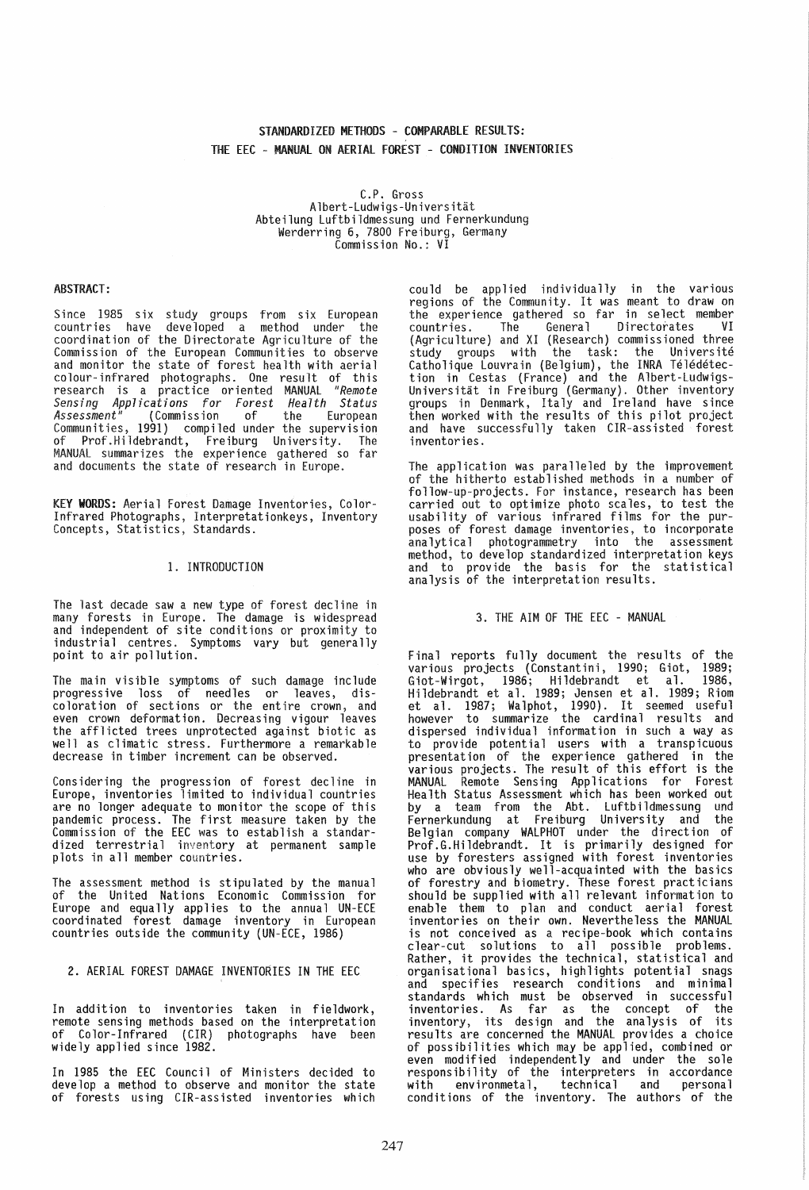# STANDARDIZED METHODS - COMPARABLE RESULTS: THE EEC - MANUAL ON AERIAL fOREST - CONDITION INVENTORIES

C.P. Gross<br>Albert-Ludwigs-Universität Abteilung Luftbildmessung und Fernerkundung<br>Werderring 6, 7800 Freiburg, Germany<br>Commission No.: VI

#### ABSTRACT:

Since 1985 six study groups from six European countries have developed a method under the coordination of the Directorate Agriculture of the Commission of the European Communities to observe and monitor the state of forest health with aerial colour-infrared photographs. One result of this research is a practice oriented MANUAL *"Remote Applications for Forest Health Status Assessment"* (Commission of the European<br>Communities, 1991) compiled under the supervision<br>of Prof.Hildebrandt, Freiburg University. The MANUAL summarizes the experience gathered so far and documents the state of research in Europe.

KEY WORDS: Aerial forest Damage Inventories, Color-Infrared Photographs, Interpretationkeys, Inventory Concepts, Statistics, Standards.

#### 1. INTRODUCTION

The last decade saw a new type of forest decline in many forests in Europe. The damage is widespread<br>and independent of site conditions or proximity to and independent of site conditions or proximity to industrial centres. Symptoms vary but generally point to air pollution.

The main visible symptoms of such damage include progressive loss of needles or leaves, discoloration of sections or the entire crown, and even crown deformation. Decreasing vigour leaves the afflicted trees unprotected against biotic as well as climatic stress. Furthermore a remarkable decrease in timber increment can be observed.

Considering the progression of forest decline in Europe, inventories limited to individual countries are no longer adequate to monitor the scope of this pandemic process. The first measure taken by the Commission of the EEC was to establish a standardized terrestrial inventory at permanent sample<br>plots in all member countries.

The assessment method is stipulated by the manual of the United Nations Economic Commission for Europe and equally applies to the annual UN-ECE coordinated forest damage inventory in European countries outside the community (UN-ECE, 1986)

## 2. AERIAL FOREST DAMAGE INVENTORIES IN THE EEC

In addition to inventories taken in fieldwork, remote sensing methods based on the interpretation<br>of Color-Infrared (CIR) photographs have been of Color-Infrared (CIR) photographs have been<br>widely applied since 1982.

In 1985 the EEC Council of Ministers decided to develop a method to observe and monitor the state of forests using CIR-assisted inventories which

could be applied individually in the various regions of the Community. It was meant to draw on the experience gathered so far in select member countries. The General Directorates VI (Agriculture) and XI (Research) commissioned three study groups with the task: the Université Catholique Louvrain (Belgium), the INRA Télédétection in Cestas (France) and the Albert-Ludwigs-<br>Universität in Freiburg (Germany). Other inventory groups in Denmark, Italy and Ireland have since then worked with the results of this pilot project<br>and have successfully taken CIR-assisted forest inventories.

The application was paralleled by the improvement<br>of the hitherto established methods in a number of follow-up-projects. For instance, research has been carried out to optimize photo scales, to test the usability of various infrared films for the purposes of forest damage inventories, to incorporate analytical photogrammetry into the assessment method, to develop standardized interpretation keys and to provide the basis for the statistical analysis of the interpretation results.

#### 3. THE AIM OF THE EEC - MANUAL

Final reports fully document the results of the various projects (Constantini, 1990; Giot, 1989; Giot-Wirgot, 1986; Hildebrandt et al. 1986, Hildebrandt et al. 1989; Jensen et al. 1989; Riom et al. 1987; Walphot, 1990). It seemed useful however to summarize the cardinal results and dispersed individual information in such a way as<br>to provide potential users with a transpicuous to provide potential users with a transpicuous<br>presentation of the experience gathered in the various projects. The result of this effort is the MANUAL Remote Sensing Applications for Forest Health Status Assessment which has been worked out by a team from the Aht. Luftbildmessung und Fernerkundung at Freiburg Univers ity and the Belgian company WALPHOT under the direction of Prof.G.Hildebrandt. It is primarily designed for use by foresters assigned with forest inventories who are obviously well-acquainted with the basics of forestry and biometry. These forest practicians should be supplied with all relevant information to enable them to plan and conduct aerial forest inventories on their own. Nevertheless the MANUAL is not conceived as a recipe-book which contains clear-cut solutions to all possible problems.<br>Rather, it provides the technical, statistical and organisational basics, highlights potential snags and specifies research conditions and minimal standards which must be observed in successful inventories. As far as the concept of the inventory, its design and the analysis of its results are concerned the MANUAL provides a choice of possibilities which may be applied, combined or even modified independently and under the sole responsibility of the interpreters in accordance with environmetal, technical and personal<br>conditions of the inventory. The authors of the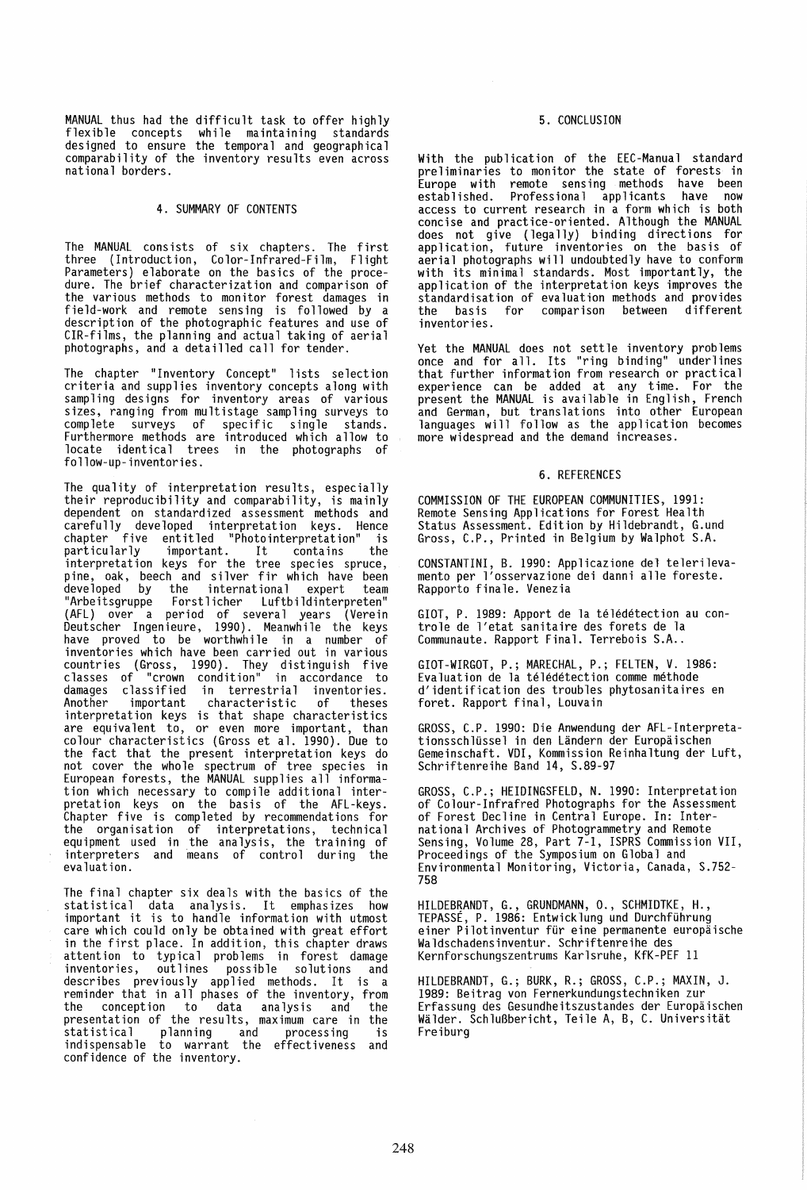MANUAL thus had the difficult task to offer highly flexible concepts while maintaining standards designed to ensure the temporal and geographical comparability of the inventory results even across national borders.

## 4. SUMMARY OF CONTENTS

The MANUAL consists of six chapters. The first three (Introduction, Color-Infrared-Film, Flight Parameters) elaborate on the basics of the proce- dure. The brief characterization and comparison of the various methods to monitor forest damages in field-work and remote sensing is followed by a description of the photographic features and use of CIR-films, the planning and actual taking of aerial photographs, and a detailled call for tender.

The chapter "Inventory Concept" lists selection criteria and supplies inventory concepts along with sampling designs for inventory areas of various sizes, ranging from multistage sampling surveys to complete surveys of specific single stands. Furthermore methods are introduced which allow to locate identical trees in the photographs of follow-up-inventories.

The quality of interpretation results, especially their reproducibility and comparability, is mainly dependent on standardized assessment methods and carefully developed interpretation keys. Hence chapter five entitled "Photointerpretation" is particularly important. It contains the interpretation keys for the tree species spruce, pine, oak, beech and silver fir which have been developed by the international expert team "Arbeitsgruppe Forstlicher Luftbildinterpreten" (AFL) over a period of several years (Verein Deutscher Ingenieure, 1990). Meanwhile the keys have proved to be worthwhile in a number of inventories which have been carried out in various countries (Gross, 1990). They distinguish five classes of "crown condition" in accordance to damages classified in terrestrial inventories.<br>Another important characteristic of theses Another important characteristic of theses interpretation keys is that shape characteristics are equivalent to, or even more important, than colour characteristics (Gross et al. 1990). Due to the fact that the present interpretation keys do not cover the whole spectrum of tree species in European forests, the MANUAL supplies all information which necessary to compile additional interpretation keys on the basis of the AFL-keys. Chapter five is completed by recommendations for the organisation of interpretations, technical equipment used in the analysis, the training of interpreters and means of control during the evaluation.

The final chapter six deals with the basics of the statistical data analysis. It emphasizes how important it is to handle information with utmost care which could only be obtained with great effort in the first place. In addition, this chapter draws attention to typical problems in forest damage inventories, outlines possible solutions and describes previously applied methods. It is a reminder that in all phases of the inventory, from the conception to data analysis and the presentation of the results, maximum care in the statistical planning and processing is indispensable to warrant the effectiveness and confidence of the inventory.

# 5. CONCLUSION

With the publication of the EEC-Manual standard pre 1 iminaries to monitor the state of forests in Europe with remote sensing methods have been established. Professional applicants have now access to current research in a form which is both concise and practice-oriented. Although the MANUAL does not give (legally) binding directions for application, future inventories on the basis of aerial photographs will undoubtedly have to conform with its minimal standards. Most importantly, the application of the interpretation keys improves the standardisation of evaluation methods and provides for comparison inventories.

Yet the MANUAL does not settle inventory problems once and for all. Its "ring binding" underlines that further information from research or practical experience can be added at any time. For the present the MANUAL is available in English, French and German, but translations into other European<br>languages will follow as the application becomes more widespread and the demand increases.

#### 6. REFERENCES

COMMISSION OF THE EUROPEAN COMMUNITIES, 1991: Remote Sensing Applications for Forest Health Status Assessment. Edition by Hildebrandt, G.und Gross, C.P., Printed in Belgium by Walphot S.A.

CONSTANTINI, B. 1990: Applicazione del telerilevamento per l'osservazione dei danni alle foreste. Rapporto finale. Venezia

GIOT, P. 1989: Apport de la teledetection au controle de l'etat sanitaire des forets de la Communaute. Rapport Final. Terrebois S.A..

GIOT-WIRGOT, P.; MARECHAL, P.; FELTEN, V. 1986: Evaluation de la teledetection comme methode d'identification des troubles phytosanitaires en foret. Rapport final, Louvain

GROSS, C.P. 1990: Die Anwendung der AFL-Interpretationsschlussel in den Landern der Europaischen Gemeinschaft. VOl, Kommission Reinhaltung der Luft, Schriftenreihe Band 14, S.89-97

GROSS, C.P.; HEIDINGSFELD, N. 1990: Interpretation of Colour-Infrafred Photographs for the Assessment of Forest Decline in Central Europe. In: International Archives of Photogrammetry and Remote Sensing, Volume 28, Part 7-1, ISPRS Commission VII, Proceedings of the Symposium on Global and Environmental Monitoring, Victoria, Canada, S.752- 758

HILDEBRANDT, G., GRUNDMANN, 0., SCHMIDTKE, H., TEPASSE, P. 1986: Entwicklung und Durchfuhrung einer Pilotinventur fur eine permanente europaische Waldschadensinventur. Schriftenreihe des Kernforschungszentrums Karlsruhe, KfK-PEF 11

HILDEBRANDT, G.; BURK, R.; GROSS, C.P.; MAXIN, J. 1989: Beitrag von Fernerkundungstechniken zur Erfassung des Gesundheitszustandes der Europaischen Walder. SchluBbericht, Teile A, B, C. Universitat Freiburg